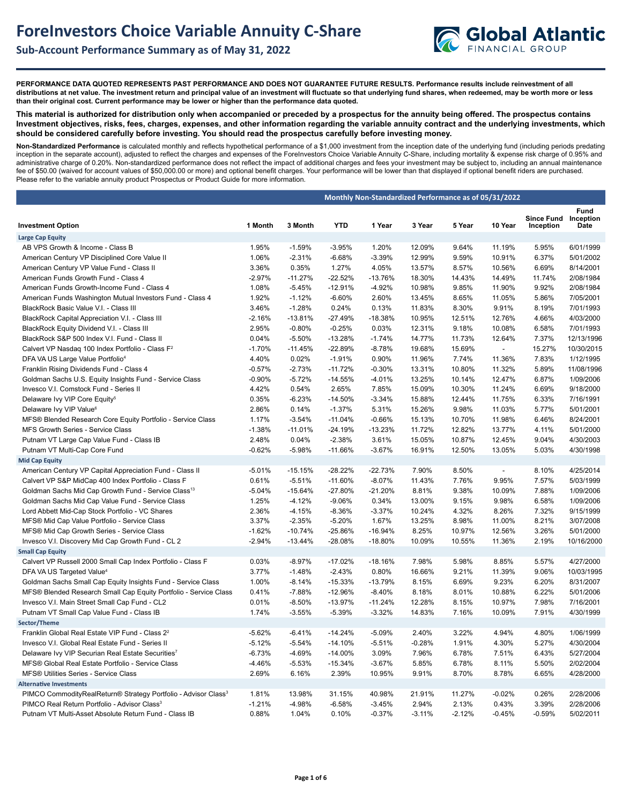## **Sub-Account Performance Summary as of May 31, 2022**



**PERFORMANCE DATA QUOTED REPRESENTS PAST PERFORMANCE AND DOES NOT GUARANTEE FUTURE RESULTS. Performance results include reinvestment of all distributions at net value. The investment return and principal value of an investment will fluctuate so that underlying fund shares, when redeemed, may be worth more or less than their original cost. Current performance may be lower or higher than the performance data quoted.**

**This material is authorized for distribution only when accompanied or preceded by a prospectus for the annuity being offered. The prospectus contains Investment objectives, risks, fees, charges, expenses, and other information regarding the variable annuity contract and the underlying investments, which should be considered carefully before investing. You should read the prospectus carefully before investing money.** 

**Non-Standardized Performance** is calculated monthly and reflects hypothetical performance of a \$1,000 investment from the inception date of the underlying fund (including periods predating inception in the separate account), adjusted to reflect the charges and expenses of the ForeInvestors Choice Variable Annuity C-Share, including mortality & expense risk charge of 0.95% and administrative charge of 0.20%. Non-standardized performance does not reflect the impact of additional charges and fees your investment may be subject to, including an annual maintenance fee of \$50.00 (waived for account values of \$50,000.00 or more) and optional benefit charges. Your performance will be lower than that displayed if optional benefit riders are purchased. Please refer to the variable annuity product Prospectus or Product Guide for more information.

|                                                                            | Monthly Non-Standardized Performance as of 05/31/2022 |           |            |           |          |          |                |                                |                           |
|----------------------------------------------------------------------------|-------------------------------------------------------|-----------|------------|-----------|----------|----------|----------------|--------------------------------|---------------------------|
| <b>Investment Option</b>                                                   | 1 Month                                               | 3 Month   | <b>YTD</b> | 1 Year    | 3 Year   | 5 Year   | 10 Year        | <b>Since Fund</b><br>Inception | Fund<br>Inception<br>Date |
| <b>Large Cap Equity</b>                                                    |                                                       |           |            |           |          |          |                |                                |                           |
| AB VPS Growth & Income - Class B                                           | 1.95%                                                 | $-1.59%$  | $-3.95%$   | 1.20%     | 12.09%   | 9.64%    | 11.19%         | 5.95%                          | 6/01/1999                 |
| American Century VP Disciplined Core Value II                              | 1.06%                                                 | $-2.31%$  | $-6.68%$   | $-3.39%$  | 12.99%   | 9.59%    | 10.91%         | 6.37%                          | 5/01/2002                 |
| American Century VP Value Fund - Class II                                  | 3.36%                                                 | 0.35%     | 1.27%      | 4.05%     | 13.57%   | 8.57%    | 10.56%         | 6.69%                          | 8/14/2001                 |
| American Funds Growth Fund - Class 4                                       | $-2.97%$                                              | $-11.27%$ | $-22.52%$  | -13.76%   | 18.30%   | 14.43%   | 14.49%         | 11.74%                         | 2/08/1984                 |
| American Funds Growth-Income Fund - Class 4                                | 1.08%                                                 | $-5.45%$  | $-12.91%$  | $-4.92%$  | 10.98%   | 9.85%    | 11.90%         | 9.92%                          | 2/08/1984                 |
| American Funds Washington Mutual Investors Fund - Class 4                  | 1.92%                                                 | $-1.12%$  | $-6.60%$   | 2.60%     | 13.45%   | 8.65%    | 11.05%         | 5.86%                          | 7/05/2001                 |
| BlackRock Basic Value V.I. - Class III                                     | 3.46%                                                 | $-1.28%$  | 0.24%      | 0.13%     | 11.83%   | 8.30%    | 9.91%          | 8.19%                          | 7/01/1993                 |
| BlackRock Capital Appreciation V.I. - Class III                            | $-2.16%$                                              | $-13.81%$ | $-27.49%$  | $-18.38%$ | 10.95%   | 12.51%   | 12.76%         | 4.66%                          | 4/03/2000                 |
| BlackRock Equity Dividend V.I. - Class III                                 | 2.95%                                                 | $-0.80%$  | $-0.25%$   | 0.03%     | 12.31%   | 9.18%    | 10.08%         | 6.58%                          | 7/01/1993                 |
| BlackRock S&P 500 Index V.I. Fund - Class II                               | 0.04%                                                 | $-5.50%$  | $-13.28%$  | $-1.74%$  | 14.77%   | 11.73%   | 12.64%         | 7.37%                          | 12/13/1996                |
| Calvert VP Nasdag 100 Index Portfolio - Class F <sup>2</sup>               | $-1.70%$                                              | $-11.45%$ | $-22.89%$  | $-8.78%$  | 19.68%   | 15.69%   | $\blacksquare$ | 15.27%                         | 10/30/2015                |
| DFA VA US Large Value Portfolio <sup>4</sup>                               | 4.40%                                                 | 0.02%     | $-1.91%$   | 0.90%     | 11.96%   | 7.74%    | 11.36%         | 7.83%                          | 1/12/1995                 |
| Franklin Rising Dividends Fund - Class 4                                   | $-0.57%$                                              | $-2.73%$  | $-11.72%$  | $-0.30%$  | 13.31%   | 10.80%   | 11.32%         | 5.89%                          | 11/08/1996                |
| Goldman Sachs U.S. Equity Insights Fund - Service Class                    | $-0.90%$                                              | $-5.72%$  | $-14.55%$  | $-4.01%$  | 13.25%   | 10.14%   | 12.47%         | 6.87%                          | 1/09/2006                 |
| Invesco V.I. Comstock Fund - Series II                                     | 4.42%                                                 | 0.54%     | 2.65%      | 7.85%     | 15.09%   | 10.30%   | 11.24%         | 6.69%                          | 9/18/2000                 |
| Delaware Ivy VIP Core Equity <sup>5</sup>                                  | 0.35%                                                 | $-6.23%$  | $-14.50%$  | $-3.34%$  | 15.88%   | 12.44%   | 11.75%         | 6.33%                          | 7/16/1991                 |
| Delaware Ivy VIP Value <sup>6</sup>                                        | 2.86%                                                 | 0.14%     | $-1.37%$   | 5.31%     | 15.26%   | 9.98%    | 11.03%         | 5.77%                          | 5/01/2001                 |
| MFS® Blended Research Core Equity Portfolio - Service Class                | 1.17%                                                 | $-3.54%$  | $-11.04%$  | $-0.66%$  | 15.13%   | 10.70%   | 11.98%         | 6.46%                          | 8/24/2001                 |
| MFS Growth Series - Service Class                                          | $-1.38%$                                              | $-11.01%$ | $-24.19%$  | $-13.23%$ | 11.72%   | 12.82%   | 13.77%         | 4.11%                          | 5/01/2000                 |
| Putnam VT Large Cap Value Fund - Class IB                                  | 2.48%                                                 | 0.04%     | $-2.38%$   | 3.61%     | 15.05%   | 10.87%   | 12.45%         | 9.04%                          | 4/30/2003                 |
| Putnam VT Multi-Cap Core Fund                                              | $-0.62%$                                              | $-5.98%$  | $-11.66%$  | $-3.67%$  | 16.91%   | 12.50%   | 13.05%         | 5.03%                          | 4/30/1998                 |
| <b>Mid Cap Equity</b>                                                      |                                                       |           |            |           |          |          |                |                                |                           |
| American Century VP Capital Appreciation Fund - Class II                   | $-5.01%$                                              | $-15.15%$ | $-28.22%$  | $-22.73%$ | 7.90%    | 8.50%    | $\sim$         | 8.10%                          | 4/25/2014                 |
| Calvert VP S&P MidCap 400 Index Portfolio - Class F                        | 0.61%                                                 | $-5.51%$  | $-11.60%$  | $-8.07%$  | 11.43%   | 7.76%    | 9.95%          | 7.57%                          | 5/03/1999                 |
| Goldman Sachs Mid Cap Growth Fund - Service Class <sup>13</sup>            | $-5.04%$                                              | $-15.64%$ | -27.80%    | $-21.20%$ | 8.81%    | 9.38%    | 10.09%         | 7.88%                          | 1/09/2006                 |
| Goldman Sachs Mid Cap Value Fund - Service Class                           | 1.25%                                                 | $-4.12%$  | $-9.06%$   | 0.34%     | 13.00%   | 9.15%    | 9.98%          | 6.58%                          | 1/09/2006                 |
| Lord Abbett Mid-Cap Stock Portfolio - VC Shares                            | 2.36%                                                 | $-4.15%$  | $-8.36%$   | $-3.37%$  | 10.24%   | 4.32%    | 8.26%          | 7.32%                          | 9/15/1999                 |
| MFS® Mid Cap Value Portfolio - Service Class                               | 3.37%                                                 | $-2.35%$  | $-5.20%$   | 1.67%     | 13.25%   | 8.98%    | 11.00%         | 8.21%                          | 3/07/2008                 |
| MFS® Mid Cap Growth Series - Service Class                                 | $-1.62%$                                              | $-10.74%$ | -25.86%    | $-16.94%$ | 8.25%    | 10.97%   | 12.56%         | 3.26%                          | 5/01/2000                 |
| Invesco V.I. Discovery Mid Cap Growth Fund - CL 2                          | $-2.94%$                                              | $-13.44%$ | $-28.08%$  | $-18.80%$ | 10.09%   | 10.55%   | 11.36%         | 2.19%                          | 10/16/2000                |
| <b>Small Cap Equity</b>                                                    |                                                       |           |            |           |          |          |                |                                |                           |
| Calvert VP Russell 2000 Small Cap Index Portfolio - Class F                | 0.03%                                                 | $-8.97%$  | $-17.02%$  | $-18.16%$ | 7.98%    | 5.98%    | 8.85%          | 5.57%                          | 4/27/2000                 |
| DFA VA US Targeted Value <sup>4</sup>                                      | 3.77%                                                 | $-1.48%$  | $-2.43%$   | 0.80%     | 16.66%   | 9.21%    | 11.39%         | 9.06%                          | 10/03/1995                |
| Goldman Sachs Small Cap Equity Insights Fund - Service Class               | 1.00%                                                 | $-8.14%$  | $-15.33%$  | $-13.79%$ | 8.15%    | 6.69%    | 9.23%          | 6.20%                          | 8/31/2007                 |
| MFS® Blended Research Small Cap Equity Portfolio - Service Class           | 0.41%                                                 | $-7.88%$  | $-12.96%$  | $-8.40%$  | 8.18%    | 8.01%    | 10.88%         | 6.22%                          | 5/01/2006                 |
| Invesco V.I. Main Street Small Cap Fund - CL2                              | 0.01%                                                 | $-8.50%$  | -13.97%    | $-11.24%$ | 12.28%   | 8.15%    | 10.97%         | 7.98%                          | 7/16/2001                 |
| Putnam VT Small Cap Value Fund - Class IB                                  | 1.74%                                                 | $-3.55%$  | $-5.39%$   | $-3.32%$  | 14.83%   | 7.16%    | 10.09%         | 7.91%                          | 4/30/1999                 |
| Sector/Theme                                                               |                                                       |           |            |           |          |          |                |                                |                           |
| Franklin Global Real Estate VIP Fund - Class 2 <sup>2</sup>                | $-5.62%$                                              | $-6.41%$  | $-14.24%$  | $-5.09%$  | 2.40%    | 3.22%    | 4.94%          | 4.80%                          | 1/06/1999                 |
| Invesco V.I. Global Real Estate Fund - Series II                           | $-5.12%$                                              | $-5.54%$  | $-14.10%$  | $-5.51%$  | $-0.28%$ | 1.91%    | 4.30%          | 5.27%                          | 4/30/2004                 |
| Delaware Ivy VIP Securian Real Estate Securities7                          | $-6.73%$                                              | $-4.69%$  | $-14.00%$  | 3.09%     | 7.96%    | 6.78%    | 7.51%          | 6.43%                          | 5/27/2004                 |
| MFS® Global Real Estate Portfolio - Service Class                          | $-4.46%$                                              | $-5.53%$  | $-15.34%$  | $-3.67%$  | 5.85%    | 6.78%    | 8.11%          | 5.50%                          | 2/02/2004                 |
| MFS® Utilities Series - Service Class                                      | 2.69%                                                 | 6.16%     | 2.39%      | 10.95%    | 9.91%    | 8.70%    | 8.78%          | 6.65%                          | 4/28/2000                 |
| <b>Alternative Investments</b>                                             |                                                       |           |            |           |          |          |                |                                |                           |
| PIMCO CommodityRealReturn® Strategy Portfolio - Advisor Class <sup>3</sup> | 1.81%                                                 | 13.98%    | 31.15%     | 40.98%    | 21.91%   | 11.27%   | $-0.02%$       | 0.26%                          | 2/28/2006                 |
| PIMCO Real Return Portfolio - Advisor Class <sup>3</sup>                   | $-1.21%$                                              | -4.98%    | $-6.58%$   | $-3.45%$  | 2.94%    | 2.13%    | 0.43%          | 3.39%                          | 2/28/2006                 |
| Putnam VT Multi-Asset Absolute Return Fund - Class IB                      | 0.88%                                                 | 1.04%     | 0.10%      | $-0.37%$  | $-3.11%$ | $-2.12%$ | $-0.45%$       | $-0.59%$                       | 5/02/2011                 |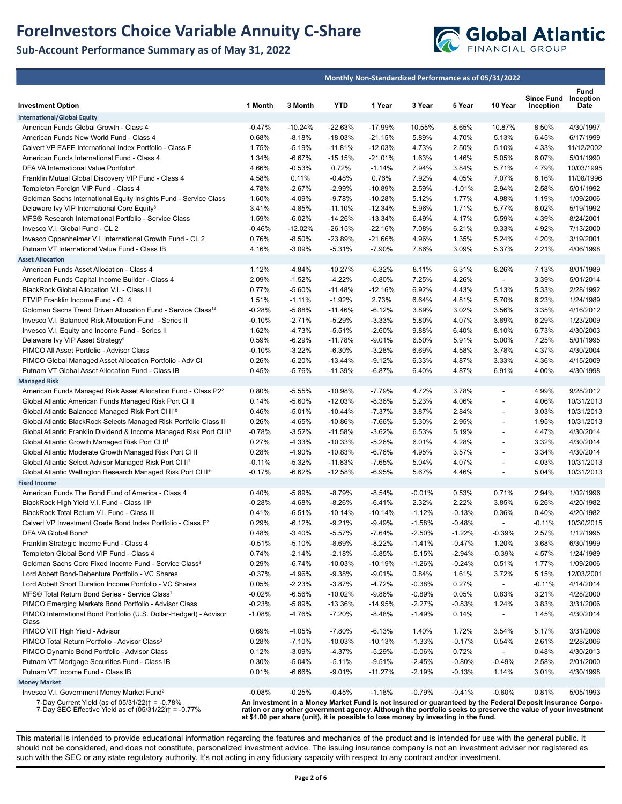## **ForeInvestors Choice Variable Annuity C-Share**

## **Sub-Account Performance Summary as of May 31, 2022**



|                                                                                                  |                                                                                                                                                                                                                                                                                                                 | Monthly Non-Standardized Performance as of 05/31/2022 |                        |                        |          |                |                          |                                |                        |  |  |
|--------------------------------------------------------------------------------------------------|-----------------------------------------------------------------------------------------------------------------------------------------------------------------------------------------------------------------------------------------------------------------------------------------------------------------|-------------------------------------------------------|------------------------|------------------------|----------|----------------|--------------------------|--------------------------------|------------------------|--|--|
|                                                                                                  | 1 Month                                                                                                                                                                                                                                                                                                         | 3 Month                                               | <b>YTD</b>             | 1 Year                 | 3 Year   | 5 Year         | 10 Year                  | <b>Since Fund</b><br>Inception | Fund<br>Inception      |  |  |
| <b>Investment Option</b>                                                                         |                                                                                                                                                                                                                                                                                                                 |                                                       |                        |                        |          |                |                          |                                | Date                   |  |  |
| <b>International/Global Equity</b>                                                               | $-0.47%$                                                                                                                                                                                                                                                                                                        |                                                       |                        |                        | 10.55%   |                |                          |                                |                        |  |  |
| American Funds Global Growth - Class 4<br>American Funds New World Fund - Class 4                | 0.68%                                                                                                                                                                                                                                                                                                           | $-10.24%$<br>$-8.18%$                                 | $-22.63%$<br>$-18.03%$ | $-17.99%$<br>$-21.15%$ | 5.89%    | 8.65%<br>4.70% | 10.87%<br>5.13%          | 8.50%<br>6.45%                 | 4/30/1997<br>6/17/1999 |  |  |
| Calvert VP EAFE International Index Portfolio - Class F                                          | 1.75%                                                                                                                                                                                                                                                                                                           | $-5.19%$                                              | $-11.81%$              | $-12.03%$              | 4.73%    | 2.50%          | 5.10%                    | 4.33%                          | 11/12/2002             |  |  |
| American Funds International Fund - Class 4                                                      | 1.34%                                                                                                                                                                                                                                                                                                           | $-6.67%$                                              | $-15.15%$              | $-21.01%$              | 1.63%    | 1.46%          | 5.05%                    | 6.07%                          | 5/01/1990              |  |  |
| DFA VA International Value Portfolio <sup>4</sup>                                                | 4.66%                                                                                                                                                                                                                                                                                                           | $-0.53%$                                              | 0.72%                  | $-1.14%$               | 7.94%    | 3.84%          | 5.71%                    | 4.79%                          | 10/03/1995             |  |  |
| Franklin Mutual Global Discovery VIP Fund - Class 4                                              | 4.58%                                                                                                                                                                                                                                                                                                           | 0.11%                                                 | $-0.48%$               | 0.76%                  | 7.92%    | 4.05%          | 7.07%                    | 6.16%                          | 11/08/1996             |  |  |
| Templeton Foreign VIP Fund - Class 4                                                             | 4.78%                                                                                                                                                                                                                                                                                                           | $-2.67%$                                              | $-2.99%$               | $-10.89%$              | 2.59%    | $-1.01%$       | 2.94%                    | 2.58%                          | 5/01/1992              |  |  |
| Goldman Sachs International Equity Insights Fund - Service Class                                 | 1.60%                                                                                                                                                                                                                                                                                                           | $-4.09%$                                              | $-9.78%$               | $-10.28%$              | 5.12%    | 1.77%          | 4.98%                    | 1.19%                          | 1/09/2006              |  |  |
| Delaware Ivy VIP International Core Equity <sup>8</sup>                                          | 3.41%                                                                                                                                                                                                                                                                                                           | $-4.85%$                                              | $-11.10%$              | $-12.34%$              | 5.96%    | 1.71%          | 5.77%                    | 6.02%                          | 5/19/1992              |  |  |
| MFS® Research International Portfolio - Service Class                                            | 1.59%                                                                                                                                                                                                                                                                                                           | $-6.02%$                                              | $-14.26%$              | $-13.34%$              | 6.49%    | 4.17%          | 5.59%                    | 4.39%                          | 8/24/2001              |  |  |
| Invesco V.I. Global Fund - CL 2                                                                  | $-0.46%$                                                                                                                                                                                                                                                                                                        | $-12.02%$                                             | $-26.15%$              | $-22.16%$              | 7.08%    | 6.21%          | 9.33%                    | 4.92%                          | 7/13/2000              |  |  |
| Invesco Oppenheimer V.I. International Growth Fund - CL 2                                        | 0.76%                                                                                                                                                                                                                                                                                                           | $-8.50%$                                              | -23.89%                | $-21.66%$              | 4.96%    | 1.35%          | 5.24%                    | 4.20%                          | 3/19/2001              |  |  |
| Putnam VT International Value Fund - Class IB                                                    | 4.16%                                                                                                                                                                                                                                                                                                           | $-3.09%$                                              | $-5.31%$               | $-7.90%$               | 7.86%    | 3.09%          | 5.37%                    | 2.21%                          | 4/06/1998              |  |  |
| <b>Asset Allocation</b>                                                                          |                                                                                                                                                                                                                                                                                                                 |                                                       |                        |                        |          |                |                          |                                |                        |  |  |
| American Funds Asset Allocation - Class 4                                                        | 1.12%                                                                                                                                                                                                                                                                                                           | $-4.84%$                                              | $-10.27%$              | $-6.32%$               | 8.11%    | 6.31%          | 8.26%                    | 7.13%                          | 8/01/1989              |  |  |
| American Funds Capital Income Builder - Class 4                                                  | 2.09%                                                                                                                                                                                                                                                                                                           | $-1.52%$                                              | $-4.22%$               | $-0.80%$               | 7.25%    | 4.26%          | $\overline{\phantom{a}}$ | 3.39%                          | 5/01/2014              |  |  |
| BlackRock Global Allocation V.I. - Class III                                                     | 0.77%                                                                                                                                                                                                                                                                                                           | $-5.60%$                                              | $-11.48%$              | $-12.16%$              | 6.92%    | 4.43%          | 5.13%                    | 5.33%                          | 2/28/1992              |  |  |
| FTVIP Franklin Income Fund - CL 4                                                                | 1.51%                                                                                                                                                                                                                                                                                                           | $-1.11%$                                              | $-1.92%$               | 2.73%                  | 6.64%    | 4.81%          | 5.70%                    | 6.23%                          | 1/24/1989              |  |  |
| Goldman Sachs Trend Driven Allocation Fund - Service Class <sup>12</sup>                         | $-0.28%$                                                                                                                                                                                                                                                                                                        | $-5.88%$                                              | $-11.46%$              | $-6.12%$               | 3.89%    | 3.02%          | 3.56%                    | 3.35%                          | 4/16/2012              |  |  |
| Invesco V.I. Balanced Risk Allocation Fund - Series II                                           | $-0.10%$                                                                                                                                                                                                                                                                                                        | $-2.71%$                                              | $-5.29%$               | $-3.33%$               | 5.80%    | 4.07%          | 3.89%                    | 6.29%                          | 1/23/2009              |  |  |
| Invesco V.I. Equity and Income Fund - Series II                                                  | 1.62%                                                                                                                                                                                                                                                                                                           | $-4.73%$                                              | $-5.51%$               | $-2.60%$               | 9.88%    | 6.40%          | 8.10%                    | 6.73%                          | 4/30/2003              |  |  |
| Delaware Ivy VIP Asset Strategy <sup>9</sup>                                                     | 0.59%                                                                                                                                                                                                                                                                                                           | $-6.29%$                                              | $-11.78%$              | $-9.01%$               | 6.50%    | 5.91%          | 5.00%                    | 7.25%                          | 5/01/1995              |  |  |
| PIMCO All Asset Portfolio - Advisor Class                                                        | $-0.10%$                                                                                                                                                                                                                                                                                                        | $-3.22%$                                              | $-6.30%$               | $-3.28%$               | 6.69%    | 4.58%          | 3.78%                    | 4.37%                          | 4/30/2004              |  |  |
| PIMCO Global Managed Asset Allocation Portfolio - Adv Cl                                         | 0.26%                                                                                                                                                                                                                                                                                                           | $-6.20%$                                              | $-13.44%$              | $-9.12%$               | 6.33%    | 4.87%          | 3.33%                    | 4.36%                          | 4/15/2009              |  |  |
| Putnam VT Global Asset Allocation Fund - Class IB                                                | 0.45%                                                                                                                                                                                                                                                                                                           | $-5.76%$                                              | $-11.39%$              | $-6.87%$               | 6.40%    | 4.87%          | 6.91%                    | 4.00%                          | 4/30/1998              |  |  |
| <b>Managed Risk</b><br>American Funds Managed Risk Asset Allocation Fund - Class P2 <sup>2</sup> | 0.80%                                                                                                                                                                                                                                                                                                           | $-5.55%$                                              | $-10.98%$              | $-7.79%$               | 4.72%    | 3.78%          | $\overline{\phantom{a}}$ | 4.99%                          | 9/28/2012              |  |  |
| Global Atlantic American Funds Managed Risk Port CI II                                           | 0.14%                                                                                                                                                                                                                                                                                                           | $-5.60%$                                              | $-12.03%$              | $-8.36%$               | 5.23%    | 4.06%          | $\blacksquare$           | 4.06%                          | 10/31/2013             |  |  |
| Global Atlantic Balanced Managed Risk Port CI II <sup>10</sup>                                   | 0.46%                                                                                                                                                                                                                                                                                                           | $-5.01%$                                              | $-10.44%$              | $-7.37%$               | 3.87%    | 2.84%          | $\overline{\phantom{a}}$ | 3.03%                          | 10/31/2013             |  |  |
| Global Atlantic BlackRock Selects Managed Risk Portfolio Class II                                | 0.26%                                                                                                                                                                                                                                                                                                           | $-4.65%$                                              | $-10.86%$              | $-7.66%$               | 5.30%    | 2.95%          |                          | 1.95%                          | 10/31/2013             |  |  |
| Global Atlantic Franklin Dividend & Income Managed Risk Port CI II <sup>1</sup>                  | $-0.78%$                                                                                                                                                                                                                                                                                                        | $-3.52%$                                              | $-11.58%$              | $-3.62%$               | 6.53%    | 5.19%          | $\overline{\phantom{a}}$ | 4.47%                          | 4/30/2014              |  |  |
| Global Atlantic Growth Managed Risk Port CI II <sup>1</sup>                                      | 0.27%                                                                                                                                                                                                                                                                                                           | $-4.33%$                                              | $-10.33%$              | $-5.26%$               | 6.01%    | 4.28%          | $\overline{\phantom{a}}$ | 3.32%                          | 4/30/2014              |  |  |
| Global Atlantic Moderate Growth Managed Risk Port CI II                                          | 0.28%                                                                                                                                                                                                                                                                                                           | $-4.90%$                                              | $-10.83%$              | $-6.76%$               | 4.95%    | 3.57%          |                          | 3.34%                          | 4/30/2014              |  |  |
| Global Atlantic Select Advisor Managed Risk Port Cl II <sup>1</sup>                              | $-0.11%$                                                                                                                                                                                                                                                                                                        | $-5.32%$                                              | $-11.83%$              | $-7.65%$               | 5.04%    | 4.07%          | $\overline{\phantom{a}}$ | 4.03%                          | 10/31/2013             |  |  |
| Global Atlantic Wellington Research Managed Risk Port CI II <sup>11</sup>                        | $-0.17%$                                                                                                                                                                                                                                                                                                        | $-6.62%$                                              | $-12.58%$              | $-6.95%$               | 5.67%    | 4.46%          | $\overline{\phantom{a}}$ | 5.04%                          | 10/31/2013             |  |  |
| <b>Fixed Income</b>                                                                              |                                                                                                                                                                                                                                                                                                                 |                                                       |                        |                        |          |                |                          |                                |                        |  |  |
| American Funds The Bond Fund of America - Class 4                                                | 0.40%                                                                                                                                                                                                                                                                                                           | $-5.89%$                                              | $-8.79%$               | $-8.54%$               | $-0.01%$ | 0.53%          | 0.71%                    | 2.94%                          | 1/02/1996              |  |  |
| BlackRock High Yield V.I. Fund - Class III <sup>2</sup>                                          | $-0.28%$                                                                                                                                                                                                                                                                                                        | $-4.68%$                                              | $-8.26%$               | $-6.41%$               | 2.32%    | 2.22%          | 3.85%                    | 6.26%                          | 4/20/1982              |  |  |
| BlackRock Total Return V.I. Fund - Class III                                                     | 0.41%                                                                                                                                                                                                                                                                                                           | $-6.51%$                                              | $-10.14%$              | $-10.14%$              | $-1.12%$ | $-0.13%$       | 0.36%                    | 0.40%                          | 4/20/1982              |  |  |
| Calvert VP Investment Grade Bond Index Portfolio - Class F <sup>2</sup>                          | 0.29%                                                                                                                                                                                                                                                                                                           | $-6.12%$                                              | $-9.21%$               | $-9.49%$               | $-1.58%$ | $-0.48%$       | $\overline{\phantom{a}}$ | $-0.11%$                       | 10/30/2015             |  |  |
| DFA VA Global Bond <sup>4</sup>                                                                  | 0.48%                                                                                                                                                                                                                                                                                                           | $-3.40%$                                              | $-5.57%$               | $-7.64%$               | -2.50%   | $-1.22%$       | $-0.39%$                 | 2.57%                          | 1/12/1995              |  |  |
| Franklin Strategic Income Fund - Class 4                                                         | $-0.51%$                                                                                                                                                                                                                                                                                                        | $-5.10%$                                              | $-8.69%$               | $-8.22%$               | $-1.41%$ | $-0.47%$       | 1.20%                    | 3.68%                          | 6/30/1999              |  |  |
| Templeton Global Bond VIP Fund - Class 4                                                         | 0.74%                                                                                                                                                                                                                                                                                                           | $-2.14%$                                              | $-2.18%$               | $-5.85%$               | $-5.15%$ | $-2.94%$       | $-0.39%$                 | 4.57%                          | 1/24/1989              |  |  |
| Goldman Sachs Core Fixed Income Fund - Service Class <sup>3</sup>                                | 0.29%                                                                                                                                                                                                                                                                                                           | $-6.74%$                                              | $-10.03%$              | $-10.19%$              | $-1.26%$ | $-0.24%$       | 0.51%                    | 1.77%                          | 1/09/2006              |  |  |
| Lord Abbett Bond-Debenture Portfolio - VC Shares                                                 | $-0.37%$                                                                                                                                                                                                                                                                                                        | -4.96%                                                | $-9.38%$               | $-9.01%$               | 0.84%    | 1.61%          | 3.72%                    | 5.15%                          | 12/03/2001             |  |  |
| Lord Abbett Short Duration Income Portfolio - VC Shares                                          | 0.05%                                                                                                                                                                                                                                                                                                           | $-2.23%$                                              | $-3.87%$               | $-4.72%$               | $-0.38%$ | 0.27%          | $\overline{\phantom{a}}$ | $-0.11%$                       | 4/14/2014              |  |  |
| MFS® Total Return Bond Series - Service Class <sup>1</sup>                                       | $-0.02%$                                                                                                                                                                                                                                                                                                        | $-6.56%$                                              | $-10.02%$              | $-9.86%$               | $-0.89%$ | 0.05%          | 0.83%                    | 3.21%                          | 4/28/2000              |  |  |
| PIMCO Emerging Markets Bond Portfolio - Advisor Class                                            | $-0.23%$                                                                                                                                                                                                                                                                                                        | $-5.89%$                                              | $-13.36%$              | $-14.95%$              | $-2.27%$ | $-0.83%$       | 1.24%                    | 3.83%                          | 3/31/2006              |  |  |
| PIMCO International Bond Portfolio (U.S. Dollar-Hedged) - Advisor<br>Class                       | $-1.08%$                                                                                                                                                                                                                                                                                                        | $-4.76%$                                              | $-7.20%$               | $-8.48%$               | $-1.49%$ | 0.14%          | $\overline{\phantom{a}}$ | 1.45%                          | 4/30/2014              |  |  |
| PIMCO VIT High Yield - Advisor                                                                   | 0.69%                                                                                                                                                                                                                                                                                                           | -4.05%                                                | $-7.80%$               | -6.13%                 | 1.40%    | 1.72%          | 3.54%                    | 5.17%                          | 3/31/2006              |  |  |
| PIMCO Total Return Portfolio - Advisor Class <sup>3</sup>                                        | 0.28%                                                                                                                                                                                                                                                                                                           | $-7.10%$                                              | $-10.03%$              | $-10.13%$              | $-1.33%$ | $-0.17%$       | 0.54%                    | 2.61%                          | 2/28/2006              |  |  |
| PIMCO Dynamic Bond Portfolio - Advisor Class                                                     | 0.12%                                                                                                                                                                                                                                                                                                           | $-3.09%$                                              | -4.37%                 | $-5.29%$               | $-0.06%$ | 0.72%          |                          | 0.48%                          | 4/30/2013              |  |  |
| Putnam VT Mortgage Securities Fund - Class IB                                                    | 0.30%                                                                                                                                                                                                                                                                                                           | $-5.04%$                                              | $-5.11%$               | $-9.51%$               | $-2.45%$ | $-0.80%$       | $-0.49%$                 | 2.58%                          | 2/01/2000              |  |  |
| Putnam VT Income Fund - Class IB                                                                 | 0.01%                                                                                                                                                                                                                                                                                                           | $-6.66%$                                              | $-9.01%$               | $-11.27%$              | $-2.19%$ | $-0.13%$       | 1.14%                    | 3.01%                          | 4/30/1998              |  |  |
| <b>Money Market</b>                                                                              |                                                                                                                                                                                                                                                                                                                 |                                                       |                        |                        |          |                |                          |                                |                        |  |  |
| Invesco V.I. Government Money Market Fund <sup>2</sup>                                           | $-0.08%$                                                                                                                                                                                                                                                                                                        | $-0.25%$                                              | $-0.45%$               | $-1.18%$               | -0.79%   | $-0.41%$       | $-0.80%$                 | 0.81%                          | 5/05/1993              |  |  |
| 7-Day Current Yield (as of 05/31/22)† = -0.78%                                                   |                                                                                                                                                                                                                                                                                                                 |                                                       |                        |                        |          |                |                          |                                |                        |  |  |
| 7-Day SEC Effective Yield as of $(05/31/22)$ = -0.77%                                            | An investment in a Money Market Fund is not insured or guaranteed by the Federal Deposit Insurance Corpo-<br>ration or any other government agency. Although the portfolio seeks to preserve the value of your investment<br>at \$1.00 per share (unit), it is possible to lose money by investing in the fund. |                                                       |                        |                        |          |                |                          |                                |                        |  |  |

This material is intended to provide educational information regarding the features and mechanics of the product and is intended for use with the general public. It should not be considered, and does not constitute, personalized investment advice. The issuing insurance company is not an investment adviser nor registered as such with the SEC or any state regulatory authority. It's not acting in any fiduciary capacity with respect to any contract and/or investment.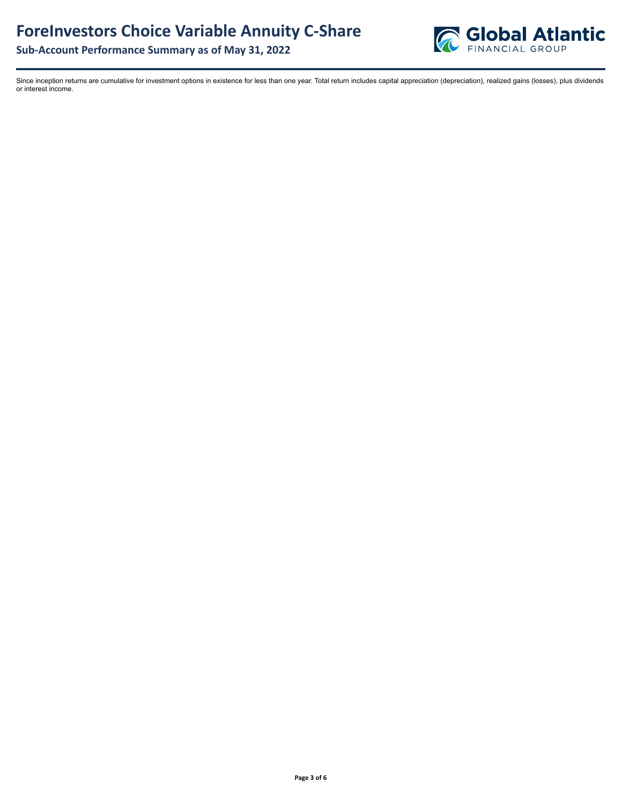

**Sub-Account Performance Summary as of May 31, 2022**

Since inception returns are cumulative for investment options in existence for less than one year. Total return includes capital appreciation (depreciation), realized gains (losses), plus dividends or interest income.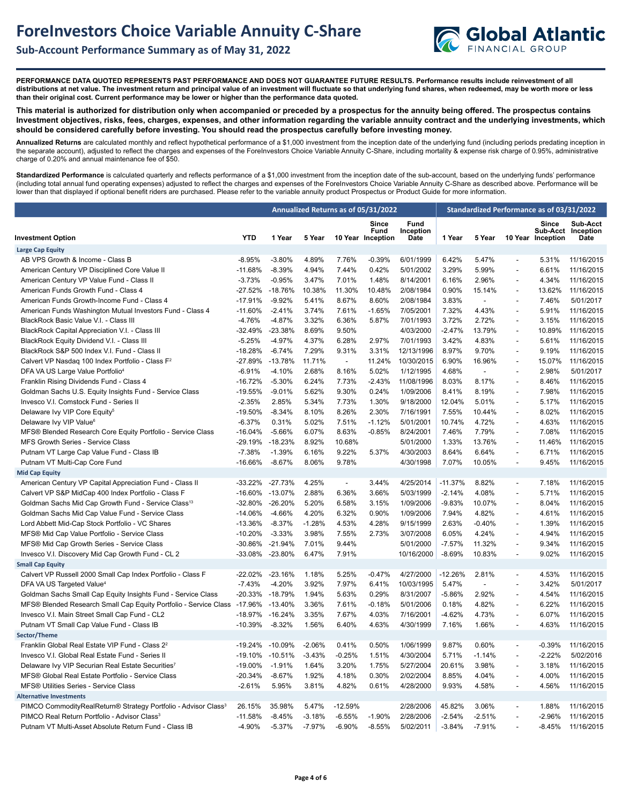



**PERFORMANCE DATA QUOTED REPRESENTS PAST PERFORMANCE AND DOES NOT GUARANTEE FUTURE RESULTS. Performance results include reinvestment of all distributions at net value. The investment return and principal value of an investment will fluctuate so that underlying fund shares, when redeemed, may be worth more or less than their original cost. Current performance may be lower or higher than the performance data quoted.**

**This material is authorized for distribution only when accompanied or preceded by a prospectus for the annuity being offered. The prospectus contains Investment objectives, risks, fees, charges, expenses, and other information regarding the variable annuity contract and the underlying investments, which should be considered carefully before investing. You should read the prospectus carefully before investing money.** 

**Annualized Returns** are calculated monthly and reflect hypothetical performance of a \$1,000 investment from the inception date of the underlying fund (including periods predating inception in the separate account), adjusted to reflect the charges and expenses of the ForeInvestors Choice Variable Annuity C-Share, including mortality & expense risk charge of 0.95%, administrative charge of 0.20% and annual maintenance fee of \$50.

Standardized Performance is calculated quarterly and reflects performance of a \$1,000 investment from the inception date of the sub-account, based on the underlying funds' performance (including total annual fund operating expenses) adjusted to reflect the charges and expenses of the ForeInvestors Choice Variable Annuity C-Share as described above. Performance will be lower than that displayed if optional benefit riders are purchased. Please refer to the variable annuity product Prospectus or Product Guide for more information.

|                                                                            |            | Annualized Returns as of 05/31/2022 |          |                          |                                    |                                  | Standardized Performance as of 03/31/2022 |                          |                          |                                |                               |
|----------------------------------------------------------------------------|------------|-------------------------------------|----------|--------------------------|------------------------------------|----------------------------------|-------------------------------------------|--------------------------|--------------------------|--------------------------------|-------------------------------|
| <b>Investment Option</b>                                                   | <b>YTD</b> | 1 Year                              | 5 Year   |                          | Since<br>Fund<br>10 Year Inception | <b>Fund</b><br>Inception<br>Date | 1 Year                                    | 5 Year                   | 10 Year                  | Since<br>Sub-Acct<br>Inception | Sub-Acct<br>Inception<br>Date |
| <b>Large Cap Equity</b>                                                    |            |                                     |          |                          |                                    |                                  |                                           |                          |                          |                                |                               |
| AB VPS Growth & Income - Class B                                           | $-8.95%$   | $-3.80%$                            | 4.89%    | 7.76%                    | $-0.39%$                           | 6/01/1999                        | 6.42%                                     | 5.47%                    | $\overline{\phantom{a}}$ | 5.31%                          | 11/16/2015                    |
| American Century VP Disciplined Core Value II                              | $-11.68%$  | $-8.39%$                            | 4.94%    | 7.44%                    | 0.42%                              | 5/01/2002                        | 3.29%                                     | 5.99%                    | $\blacksquare$           | 6.61%                          | 11/16/2015                    |
| American Century VP Value Fund - Class II                                  | $-3.73%$   | $-0.95%$                            | 3.47%    | 7.01%                    | 1.48%                              | 8/14/2001                        | 6.16%                                     | 2.96%                    | $\sim$                   | 4.34%                          | 11/16/2015                    |
| American Funds Growth Fund - Class 4                                       | $-27.52%$  | $-18.76%$                           | 10.38%   | 11.30%                   | 10.48%                             | 2/08/1984                        | 0.90%                                     | 15.14%                   | $\blacksquare$           | 13.62%                         | 11/16/2015                    |
| American Funds Growth-Income Fund - Class 4                                | $-17.91%$  | $-9.92%$                            | 5.41%    | 8.67%                    | 8.60%                              | 2/08/1984                        | 3.83%                                     | $\blacksquare$           | $\overline{\phantom{a}}$ | 7.46%                          | 5/01/2017                     |
| American Funds Washington Mutual Investors Fund - Class 4                  | $-11.60%$  | $-2.41%$                            | 3.74%    | 7.61%                    | $-1.65%$                           | 7/05/2001                        | 7.32%                                     | 4.43%                    | $\overline{\phantom{a}}$ | 5.91%                          | 11/16/2015                    |
| BlackRock Basic Value V.I. - Class III                                     | $-4.76%$   | $-4.87%$                            | 3.32%    | 6.36%                    | 5.87%                              | 7/01/1993                        | 3.72%                                     | 2.72%                    | $\overline{\phantom{a}}$ | 3.15%                          | 11/16/2015                    |
| BlackRock Capital Appreciation V.I. - Class III                            | $-32.49%$  | $-23.38%$                           | 8.69%    | 9.50%                    |                                    | 4/03/2000                        | -2.47%                                    | 13.79%                   |                          | 10.89%                         | 11/16/2015                    |
| BlackRock Equity Dividend V.I. - Class III                                 | $-5.25%$   | $-4.97%$                            | 4.37%    | 6.28%                    | 2.97%                              | 7/01/1993                        | 3.42%                                     | 4.83%                    | $\overline{a}$           | 5.61%                          | 11/16/2015                    |
| BlackRock S&P 500 Index V.I. Fund - Class II                               | $-18.28%$  | $-6.74%$                            | 7.29%    | 9.31%                    | 3.31%                              | 12/13/1996                       | 8.97%                                     | 9.70%                    | $\overline{a}$           | 9.19%                          | 11/16/2015                    |
| Calvert VP Nasdag 100 Index Portfolio - Class F <sup>2</sup>               | $-27.89%$  | $-13.78%$                           | 11.71%   | $\overline{\phantom{a}}$ | 11.24%                             | 10/30/2015                       | 6.90%                                     | 16.96%                   | $\overline{\phantom{a}}$ | 15.07%                         | 11/16/2015                    |
| DFA VA US Large Value Portfolio <sup>4</sup>                               | $-6.91%$   | $-4.10%$                            | 2.68%    | 8.16%                    | 5.02%                              | 1/12/1995                        | 4.68%                                     | $\overline{\phantom{a}}$ | $\blacksquare$           | 2.98%                          | 5/01/2017                     |
| Franklin Rising Dividends Fund - Class 4                                   | $-16.72%$  | $-5.30%$                            | 6.24%    | 7.73%                    | $-2.43%$                           | 11/08/1996                       | 8.03%                                     | 8.17%                    | $\blacksquare$           | 8.46%                          | 11/16/2015                    |
| Goldman Sachs U.S. Equity Insights Fund - Service Class                    | $-19.55%$  | $-9.01%$                            | 5.62%    | 9.30%                    | 0.24%                              | 1/09/2006                        | 8.41%                                     | 8.19%                    | $\overline{a}$           | 7.98%                          | 11/16/2015                    |
| Invesco V.I. Comstock Fund - Series II                                     | $-2.35%$   | 2.85%                               | 5.34%    | 7.73%                    | 1.30%                              | 9/18/2000                        | 12.04%                                    | 5.01%                    | $\blacksquare$           | 5.17%                          | 11/16/2015                    |
| Delaware Ivy VIP Core Equity <sup>5</sup>                                  | $-19.50%$  | $-8.34%$                            | 8.10%    | 8.26%                    | 2.30%                              | 7/16/1991                        | 7.55%                                     | 10.44%                   | $\blacksquare$           | 8.02%                          | 11/16/2015                    |
| Delaware Ivy VIP Value <sup>6</sup>                                        | $-6.37%$   | 0.31%                               | 5.02%    | 7.51%                    | $-1.12%$                           | 5/01/2001                        | 10.74%                                    | 4.72%                    | $\sim$                   | 4.63%                          | 11/16/2015                    |
| MFS® Blended Research Core Equity Portfolio - Service Class                | $-16.04%$  | $-5.66%$                            | 6.07%    | 8.63%                    | $-0.85%$                           | 8/24/2001                        | 7.46%                                     | 7.79%                    | $\overline{\phantom{a}}$ | 7.08%                          | 11/16/2015                    |
| MFS Growth Series - Service Class                                          | $-29.19%$  | $-18.23%$                           | 8.92%    | 10.68%                   |                                    | 5/01/2000                        | 1.33%                                     | 13.76%                   | $\overline{\phantom{a}}$ | 11.46%                         | 11/16/2015                    |
| Putnam VT Large Cap Value Fund - Class IB                                  | $-7.38%$   | $-1.39%$                            | 6.16%    | 9.22%                    | 5.37%                              | 4/30/2003                        | 8.64%                                     | 6.64%                    | $\blacksquare$           | 6.71%                          | 11/16/2015                    |
| Putnam VT Multi-Cap Core Fund                                              | $-16.66%$  | $-8.67%$                            | 8.06%    | 9.78%                    |                                    | 4/30/1998                        | 7.07%                                     | 10.05%                   | $\blacksquare$           | 9.45%                          | 11/16/2015                    |
| <b>Mid Cap Equity</b>                                                      |            |                                     |          |                          |                                    |                                  |                                           |                          |                          |                                |                               |
| American Century VP Capital Appreciation Fund - Class II                   |            | -33.22% -27.73%                     | 4.25%    | $\overline{\phantom{a}}$ | 3.44%                              | 4/25/2014                        | $-11.37%$                                 | 8.82%                    | $\blacksquare$           | 7.18%                          | 11/16/2015                    |
| Calvert VP S&P MidCap 400 Index Portfolio - Class F                        | $-16.60\%$ | $-13.07%$                           | 2.88%    | 6.36%                    | 3.66%                              | 5/03/1999                        | $-2.14%$                                  | 4.08%                    | $\sim$                   | 5.71%                          | 11/16/2015                    |
| Goldman Sachs Mid Cap Growth Fund - Service Class <sup>13</sup>            | $-32.80%$  | $-26.20%$                           | 5.20%    | 6.58%                    | 3.15%                              | 1/09/2006                        | $-9.83%$                                  | 10.07%                   | $\blacksquare$           | 8.04%                          | 11/16/2015                    |
| Goldman Sachs Mid Cap Value Fund - Service Class                           | $-14.06%$  | $-4.66%$                            | 4.20%    | 6.32%                    | 0.90%                              | 1/09/2006                        | 7.94%                                     | 4.82%                    | $\overline{\phantom{a}}$ | 4.61%                          | 11/16/2015                    |
| Lord Abbett Mid-Cap Stock Portfolio - VC Shares                            | $-13.36%$  | $-8.37%$                            | $-1.28%$ | 4.53%                    | 4.28%                              | 9/15/1999                        | 2.63%                                     | $-0.40%$                 | $\overline{\phantom{a}}$ | 1.39%                          | 11/16/2015                    |
| MFS® Mid Cap Value Portfolio - Service Class                               | $-10.20%$  | $-3.33%$                            | 3.98%    | 7.55%                    | 2.73%                              | 3/07/2008                        | 6.05%                                     | 4.24%                    | $\overline{\phantom{a}}$ | 4.94%                          | 11/16/2015                    |
| MFS® Mid Cap Growth Series - Service Class                                 | $-30.86%$  | $-21.94%$                           | 7.01%    | 9.44%                    |                                    | 5/01/2000                        | $-7.57%$                                  | 11.32%                   |                          | 9.34%                          | 11/16/2015                    |
| Invesco V.I. Discovery Mid Cap Growth Fund - CL 2                          | -33.08%    | $-23.80%$                           | 6.47%    | 7.91%                    |                                    | 10/16/2000                       | $-8.69%$                                  | 10.83%                   | $\overline{\phantom{a}}$ | 9.02%                          | 11/16/2015                    |
| <b>Small Cap Equity</b>                                                    |            |                                     |          |                          |                                    |                                  |                                           |                          |                          |                                |                               |
| Calvert VP Russell 2000 Small Cap Index Portfolio - Class F                | $-22.02\%$ | $-23.16%$                           | 1.18%    | 5.25%                    | $-0.47%$                           | 4/27/2000                        | $-12.26%$                                 | 2.81%                    | $\sim$                   | 4.53%                          | 11/16/2015                    |
| DFA VA US Targeted Value <sup>4</sup>                                      | $-7.43%$   | $-4.20%$                            | 3.92%    | 7.97%                    | 6.41%                              | 10/03/1995                       | 5.47%                                     | $\overline{a}$           | $\blacksquare$           | 3.42%                          | 5/01/2017                     |
| Goldman Sachs Small Cap Equity Insights Fund - Service Class               | $-20.33%$  | $-18.79%$                           | 1.94%    | 5.63%                    | 0.29%                              | 8/31/2007                        | $-5.86%$                                  | 2.92%                    | $\blacksquare$           | 4.54%                          | 11/16/2015                    |
| MFS® Blended Research Small Cap Equity Portfolio - Service Class           | -17.96%    | $-13.40%$                           | 3.36%    | 7.61%                    | $-0.18%$                           | 5/01/2006                        | 0.18%                                     | 4.82%                    | $\overline{\phantom{a}}$ | 6.22%                          | 11/16/2015                    |
| Invesco V.I. Main Street Small Cap Fund - CL2                              | $-18.97%$  | $-16.24%$                           | 3.35%    | 7.67%                    | 4.03%                              | 7/16/2001                        | $-4.62%$                                  | 4.73%                    |                          | 6.07%                          | 11/16/2015                    |
| Putnam VT Small Cap Value Fund - Class IB                                  | $-10.39%$  | $-8.32%$                            | 1.56%    | 6.40%                    | 4.63%                              | 4/30/1999                        | 7.16%                                     | 1.66%                    | $\overline{\phantom{a}}$ | 4.63%                          | 11/16/2015                    |
| Sector/Theme                                                               |            |                                     |          |                          |                                    |                                  |                                           |                          |                          |                                |                               |
| Franklin Global Real Estate VIP Fund - Class 2 <sup>2</sup>                | $-19.24%$  | $-10.09%$                           | $-2.06%$ | 0.41%                    | 0.50%                              | 1/06/1999                        | 9.87%                                     | 0.60%                    | $\overline{\phantom{a}}$ | $-0.39%$                       | 11/16/2015                    |
| Invesco V.I. Global Real Estate Fund - Series II                           | $-19.10%$  | $-10.51%$                           | $-3.43%$ | $-0.25%$                 | 1.51%                              | 4/30/2004                        | 5.71%                                     | $-1.14%$                 | $\overline{\phantom{a}}$ | $-2.22%$                       | 5/02/2016                     |
| Delaware Ivy VIP Securian Real Estate Securities7                          | $-19.00%$  | $-1.91%$                            | 1.64%    | 3.20%                    | 1.75%                              | 5/27/2004                        | 20.61%                                    | 3.98%                    | $\overline{\phantom{a}}$ | 3.18%                          | 11/16/2015                    |
| MFS® Global Real Estate Portfolio - Service Class                          | $-20.34%$  | $-8.67%$                            | 1.92%    | 4.18%                    | 0.30%                              | 2/02/2004                        | 8.85%                                     | 4.04%                    | $\overline{\phantom{a}}$ | 4.00%                          | 11/16/2015                    |
| <b>MFS® Utilities Series - Service Class</b>                               | $-2.61%$   | 5.95%                               | 3.81%    | 4.82%                    | 0.61%                              | 4/28/2000                        | 9.93%                                     | 4.58%                    | $\overline{\phantom{a}}$ | 4.56%                          | 11/16/2015                    |
| <b>Alternative Investments</b>                                             |            |                                     |          |                          |                                    |                                  |                                           |                          |                          |                                |                               |
| PIMCO CommodityRealReturn® Strategy Portfolio - Advisor Class <sup>3</sup> | 26.15%     | 35.98%                              | 5.47%    | $-12.59%$                |                                    | 2/28/2006                        | 45.82%                                    | 3.06%                    | $\blacksquare$           | 1.88%                          | 11/16/2015                    |
| PIMCO Real Return Portfolio - Advisor Class <sup>3</sup>                   | $-11.58%$  | $-8.45%$                            | $-3.18%$ | $-6.55%$                 | $-1.90%$                           | 2/28/2006                        | $-2.54%$                                  | $-2.51%$                 | $\sim$                   | $-2.96%$                       | 11/16/2015                    |
| Putnam VT Multi-Asset Absolute Return Fund - Class IB                      | $-4.90%$   | $-5.37%$                            | $-7.97%$ | $-6.90%$                 | $-8.55%$                           | 5/02/2011                        | $-3.84%$                                  | $-7.91%$                 | $\overline{\phantom{a}}$ | $-8.45%$                       | 11/16/2015                    |
|                                                                            |            |                                     |          |                          |                                    |                                  |                                           |                          |                          |                                |                               |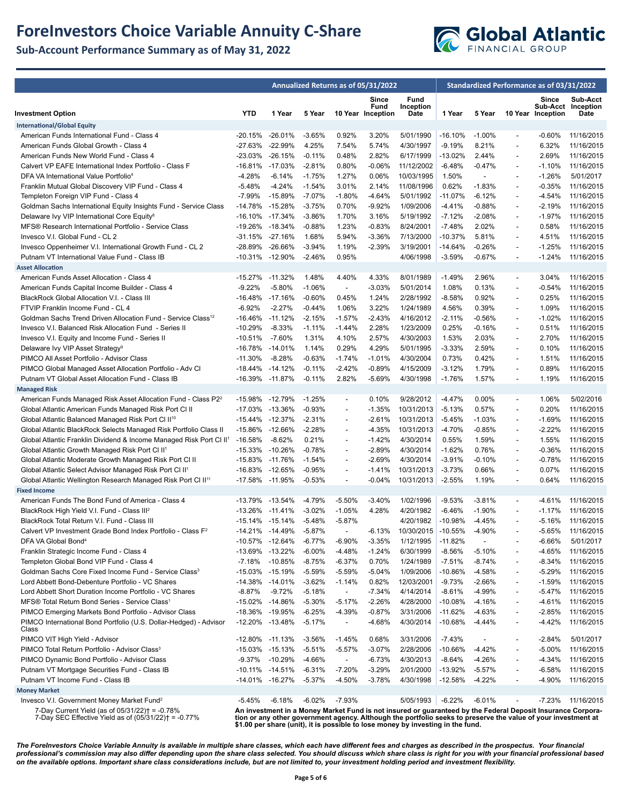## **ForeInvestors Choice Variable Annuity C-Share**

**Sub-Account Performance Summary as of May 31, 2022**



|                                                                                                         | Annualized Returns as of 05/31/2022 |                 |           |                          |                                    |                                                                                                                                                                                                                              | Standardized Performance as of 03/31/2022 |                          |                          |                            |                                        |
|---------------------------------------------------------------------------------------------------------|-------------------------------------|-----------------|-----------|--------------------------|------------------------------------|------------------------------------------------------------------------------------------------------------------------------------------------------------------------------------------------------------------------------|-------------------------------------------|--------------------------|--------------------------|----------------------------|----------------------------------------|
| <b>Investment Option</b>                                                                                | <b>YTD</b>                          | 1 Year          | 5 Year    |                          | Since<br>Fund<br>10 Year Inception | Fund<br>Inception<br>Date                                                                                                                                                                                                    | 1 Year                                    | 5 Year                   |                          | Since<br>10 Year Inception | Sub-Acct<br>Sub-Acct Inception<br>Date |
| <b>International/Global Equity</b>                                                                      |                                     |                 |           |                          |                                    |                                                                                                                                                                                                                              |                                           |                          |                          |                            |                                        |
| American Funds International Fund - Class 4                                                             |                                     | -20.15% -26.01% | $-3.65\%$ | 0.92%                    | 3.20%                              | 5/01/1990                                                                                                                                                                                                                    | $-16.10%$                                 | $-1.00\%$                | $\blacksquare$           | $-0.60%$                   | 11/16/2015                             |
| American Funds Global Growth - Class 4                                                                  | -27.63%                             | $-22.99%$       | 4.25%     | 7.54%                    | 5.74%                              | 4/30/1997                                                                                                                                                                                                                    | $-9.19%$                                  | 8.21%                    | $\overline{\phantom{a}}$ | 6.32%                      | 11/16/2015                             |
| American Funds New World Fund - Class 4                                                                 |                                     | -23.03% -26.15% | $-0.11%$  | 0.48%                    | 2.82%                              | 6/17/1999                                                                                                                                                                                                                    | $-13.02%$                                 | 2.44%                    | $\overline{\phantom{a}}$ | 2.69%                      | 11/16/2015                             |
| Calvert VP EAFE International Index Portfolio - Class F                                                 | -16.81%                             | -17.03%         | $-2.81%$  | 0.80%                    | $-0.06%$                           | 11/12/2002                                                                                                                                                                                                                   | $-6.48%$                                  | $-0.47%$                 | $\overline{\phantom{a}}$ | $-1.10%$                   | 11/16/2015                             |
| DFA VA International Value Portfolio <sup>4</sup>                                                       | $-4.28%$                            | $-6.14%$        | $-1.75%$  | 1.27%                    | 0.06%                              | 10/03/1995                                                                                                                                                                                                                   | 1.50%                                     |                          | $\overline{a}$           | $-1.26%$                   | 5/01/2017                              |
| Franklin Mutual Global Discovery VIP Fund - Class 4                                                     | $-5.48%$                            | $-4.24%$        | $-1.54%$  | 3.01%                    | 2.14%                              | 11/08/1996                                                                                                                                                                                                                   | 0.62%                                     | $-1.83%$                 | $\overline{\phantom{a}}$ | $-0.35%$                   | 11/16/2015                             |
| Templeton Foreign VIP Fund - Class 4                                                                    | $-7.99%$                            | $-15.89%$       | $-7.07%$  | $-1.80%$                 | $-4.64%$                           | 5/01/1992                                                                                                                                                                                                                    | $-11.07%$                                 | -6.12%                   | $\overline{a}$           | $-4.54%$                   | 11/16/2015                             |
| Goldman Sachs International Equity Insights Fund - Service Class                                        | -14.78%                             | $-15.28%$       | $-3.75%$  | 0.70%                    | $-9.92%$                           | 1/09/2006                                                                                                                                                                                                                    | $-4.41%$                                  | $-0.88%$                 | $\overline{\phantom{a}}$ | $-2.19%$                   | 11/16/2015                             |
| Delaware Ivy VIP International Core Equity <sup>8</sup>                                                 |                                     | -16.10% -17.34% | $-3.86%$  | 1.70%                    | 3.16%                              | 5/19/1992                                                                                                                                                                                                                    | $-7.12%$                                  | $-2.08%$                 | $\overline{\phantom{a}}$ | $-1.97%$                   | 11/16/2015                             |
| MFS® Research International Portfolio - Service Class                                                   | -19.26% -18.34%                     |                 | $-0.88%$  | 1.23%                    | $-0.83%$                           | 8/24/2001                                                                                                                                                                                                                    | $-7.48%$                                  | 2.02%                    | $\overline{\phantom{a}}$ | 0.58%                      | 11/16/2015                             |
| Invesco V.I. Global Fund - CL 2                                                                         |                                     | -31.15% -27.16% | 1.68%     | 5.94%                    | $-3.36%$                           | 7/13/2000                                                                                                                                                                                                                    | -10.37%                                   | 5.81%                    | $\overline{\phantom{a}}$ | 4.51%                      | 11/16/2015                             |
| Invesco Oppenheimer V.I. International Growth Fund - CL 2                                               |                                     | -28.89% -26.66% | $-3.94%$  | 1.19%                    | $-2.39%$                           | 3/19/2001                                                                                                                                                                                                                    | $-14.64%$                                 | $-0.26%$                 | $\overline{\phantom{a}}$ | $-1.25%$                   | 11/16/2015                             |
| Putnam VT International Value Fund - Class IB                                                           | -10.31% -12.90%                     |                 | $-2.46%$  | 0.95%                    |                                    | 4/06/1998                                                                                                                                                                                                                    | $-3.59%$                                  | $-0.67%$                 | $\overline{a}$           | $-1.24%$                   | 11/16/2015                             |
| <b>Asset Allocation</b>                                                                                 |                                     |                 |           |                          |                                    |                                                                                                                                                                                                                              |                                           |                          |                          |                            |                                        |
| American Funds Asset Allocation - Class 4                                                               | -15.27% -11.32%                     |                 | 1.48%     | 4.40%                    | 4.33%                              | 8/01/1989                                                                                                                                                                                                                    | $-1.49%$                                  | 2.96%                    | $\overline{\phantom{a}}$ | 3.04%                      | 11/16/2015                             |
| American Funds Capital Income Builder - Class 4                                                         | $-9.22%$                            | $-5.80%$        | $-1.06%$  | $\blacksquare$           | $-3.03%$                           | 5/01/2014                                                                                                                                                                                                                    | 1.08%                                     | 0.13%                    | $\overline{a}$           | -0.54%                     | 11/16/2015                             |
| BlackRock Global Allocation V.I. - Class III                                                            | -16.48%                             | $-17.16%$       | $-0.60%$  | 0.45%                    | 1.24%                              | 2/28/1992                                                                                                                                                                                                                    | $-8.58%$                                  | 0.92%                    | $\overline{\phantom{a}}$ | 0.25%                      | 11/16/2015                             |
| FTVIP Franklin Income Fund - CL 4                                                                       | $-6.92%$                            | $-2.27%$        | $-0.44%$  | 1.06%                    | 3.22%                              | 1/24/1989                                                                                                                                                                                                                    | 4.56%                                     | 0.39%                    | $\overline{\phantom{a}}$ | 1.09%                      | 11/16/2015                             |
| Goldman Sachs Trend Driven Allocation Fund - Service Class <sup>12</sup>                                | $-16.46%$                           | $-11.12%$       | $-2.15%$  | $-1.57%$                 | $-2.43%$                           | 4/16/2012                                                                                                                                                                                                                    | $-2.11%$                                  | $-0.56%$                 | $\overline{a}$           | $-1.02%$                   | 11/16/2015                             |
| Invesco V.I. Balanced Risk Allocation Fund - Series II                                                  | $-10.29%$                           | $-8.33%$        | $-1.11%$  | $-1.44%$                 | 2.28%                              | 1/23/2009                                                                                                                                                                                                                    | 0.25%                                     | $-0.16%$                 | $\overline{\phantom{a}}$ | 0.51%                      | 11/16/2015                             |
| Invesco V.I. Equity and Income Fund - Series II                                                         | $-10.51%$                           | $-7.60%$        | 1.31%     | 4.10%                    | 2.57%                              | 4/30/2003                                                                                                                                                                                                                    | 1.53%                                     | 2.03%                    | $\overline{\phantom{a}}$ | 2.70%                      | 11/16/2015                             |
| Delaware Ivy VIP Asset Strategy <sup>9</sup>                                                            | -16.78%                             | -14.01%         | 1.14%     | 0.29%                    | 4.29%                              | 5/01/1995                                                                                                                                                                                                                    | $-3.33%$                                  | 2.59%                    | $\overline{a}$           | 0.10%                      | 11/16/2015                             |
| PIMCO All Asset Portfolio - Advisor Class                                                               | $-11.30%$                           | $-8.28%$        | $-0.63%$  | $-1.74%$                 | $-1.01%$                           | 4/30/2004                                                                                                                                                                                                                    | 0.73%                                     | 0.42%                    | $\overline{\phantom{a}}$ | 1.51%                      | 11/16/2015                             |
| PIMCO Global Managed Asset Allocation Portfolio - Adv Cl                                                |                                     | -18.44% -14.12% | $-0.11%$  | $-2.42%$                 | $-0.89%$                           | 4/15/2009                                                                                                                                                                                                                    | $-3.12%$                                  | 1.79%                    | $\overline{\phantom{a}}$ | 0.89%                      | 11/16/2015                             |
| Putnam VT Global Asset Allocation Fund - Class IB                                                       | -16.39% -11.87%                     |                 | $-0.11%$  | 2.82%                    | $-5.69%$                           | 4/30/1998                                                                                                                                                                                                                    | $-1.76%$                                  | 1.57%                    | $\overline{\phantom{a}}$ | 1.19%                      | 11/16/2015                             |
| <b>Managed Risk</b>                                                                                     |                                     |                 |           |                          |                                    |                                                                                                                                                                                                                              |                                           |                          |                          |                            |                                        |
| American Funds Managed Risk Asset Allocation Fund - Class P2 <sup>2</sup>                               |                                     | -15.98% -12.79% | $-1.25%$  | $\overline{\phantom{a}}$ | 0.10%                              | 9/28/2012                                                                                                                                                                                                                    | $-4.47%$                                  | 0.00%                    | $\overline{\phantom{a}}$ | 1.06%                      | 5/02/2016                              |
| Global Atlantic American Funds Managed Risk Port CI II                                                  |                                     | -17.03% -13.36% | $-0.93%$  | $\overline{a}$           | $-1.35%$                           | 10/31/2013                                                                                                                                                                                                                   | $-5.13%$                                  | 0.57%                    | $\overline{a}$           | 0.20%                      | 11/16/2015                             |
| Global Atlantic Balanced Managed Risk Port CI II <sup>10</sup>                                          |                                     | -15.44% -12.37% | $-2.31%$  | $\overline{\phantom{a}}$ | $-2.61%$                           | 10/31/2013                                                                                                                                                                                                                   | $-5.45%$                                  | $-1.03%$                 | $\overline{\phantom{a}}$ | $-1.69%$                   | 11/16/2015                             |
| Global Atlantic BlackRock Selects Managed Risk Portfolio Class II                                       |                                     | -15.86% -12.66% | $-2.28%$  | $\overline{\phantom{a}}$ | $-4.35%$                           | 10/31/2013                                                                                                                                                                                                                   | $-4.70%$                                  | -0.85%                   | $\overline{\phantom{a}}$ | $-2.22%$                   | 11/16/2015                             |
| Global Atlantic Franklin Dividend & Income Managed Risk Port CI II <sup>1</sup>                         | $-16.58%$                           | $-8.62%$        | 0.21%     | $\overline{a}$           | $-1.42%$                           | 4/30/2014                                                                                                                                                                                                                    | 0.55%                                     | 1.59%                    | $\overline{a}$           | 1.55%                      | 11/16/2015                             |
| Global Atlantic Growth Managed Risk Port CI II <sup>1</sup>                                             | -15.33% -10.26%                     |                 | $-0.78%$  | $\blacksquare$           | $-2.89%$                           | 4/30/2014                                                                                                                                                                                                                    | $-1.62%$                                  | 0.76%                    | $\overline{\phantom{a}}$ | $-0.36%$                   | 11/16/2015                             |
| Global Atlantic Moderate Growth Managed Risk Port CI II                                                 | -15.83% -11.76%                     |                 | $-1.54%$  | $\overline{\phantom{a}}$ | $-2.69%$                           | 4/30/2014                                                                                                                                                                                                                    | $-3.91%$                                  | $-0.10%$                 | $\overline{\phantom{a}}$ | $-0.78%$                   | 11/16/2015                             |
| Global Atlantic Select Advisor Managed Risk Port CI II <sup>1</sup>                                     | -16.83% -12.65%                     |                 | $-0.95%$  | $\overline{a}$           | $-1.41%$                           | 10/31/2013                                                                                                                                                                                                                   | $-3.73%$                                  | 0.66%                    | $\overline{\phantom{a}}$ | 0.07%                      | 11/16/2015                             |
| Global Atlantic Wellington Research Managed Risk Port Cl II <sup>11</sup>                               | -17.58% -11.95%                     |                 | $-0.53%$  | $\overline{\phantom{a}}$ | $-0.04%$                           | 10/31/2013                                                                                                                                                                                                                   | $-2.55%$                                  | 1.19%                    | $\overline{\phantom{a}}$ | 0.64%                      | 11/16/2015                             |
| <b>Fixed Income</b><br>American Funds The Bond Fund of America - Class 4                                | -13.79%                             | -13.54%         | -4.79%    | $-5.50%$                 | $-3.40%$                           | 1/02/1996                                                                                                                                                                                                                    | $-9.53%$                                  | $-3.81%$                 | $\overline{\phantom{a}}$ | -4.61%                     | 11/16/2015                             |
| BlackRock High Yield V.I. Fund - Class III <sup>2</sup>                                                 | $-13.26\% -11.41\%$                 |                 | $-3.02%$  | $-1.05%$                 | 4.28%                              | 4/20/1982                                                                                                                                                                                                                    | $-6.46%$                                  | $-1.90%$                 | $\overline{\phantom{a}}$ | $-1.17%$                   | 11/16/2015                             |
| BlackRock Total Return V.I. Fund - Class III                                                            |                                     | -15.14% -15.14% | $-5.48%$  | $-5.87%$                 |                                    | 4/20/1982                                                                                                                                                                                                                    | $-10.98%$                                 | $-4.45%$                 | $\overline{\phantom{a}}$ | -5.16%                     | 11/16/2015                             |
| Calvert VP Investment Grade Bond Index Portfolio - Class F <sup>2</sup>                                 | $-14.21%$                           | $-14.49%$       | $-5.87%$  |                          | $-6.13%$                           | 10/30/2015                                                                                                                                                                                                                   | $-10.55%$                                 | -4.90%                   |                          | $-5.65%$                   | 11/16/2015                             |
| DFA VA Global Bond <sup>4</sup>                                                                         |                                     | -10.57% -12.64% | $-6.77%$  | $-6.90%$                 | $-3.35%$                           | 1/12/1995                                                                                                                                                                                                                    | $-11.82%$                                 | $\overline{\phantom{a}}$ | $\overline{\phantom{a}}$ | -6.66%                     | 5/01/2017                              |
| Franklin Strategic Income Fund - Class 4                                                                |                                     | -13.69% -13.22% | $-6.00%$  | $-4.48%$                 | $-1.24%$                           | 6/30/1999                                                                                                                                                                                                                    | $-8.56%$                                  | -5.10%                   | $\overline{\phantom{a}}$ | -4.65%                     | 11/16/2015                             |
| Templeton Global Bond VIP Fund - Class 4                                                                | $-7.18%$                            | $-10.85%$       | $-8.75%$  | $-6.37%$                 | 0.70%                              | 1/24/1989                                                                                                                                                                                                                    | $-7.51%$                                  | $-8.74%$                 | ÷,                       | -8.34%                     | 11/16/2015                             |
| Goldman Sachs Core Fixed Income Fund - Service Class <sup>3</sup>                                       |                                     | -15.03% -15.19% | $-5.59%$  | $-5.59%$                 | $-5.04%$                           | 1/09/2006                                                                                                                                                                                                                    | -10.86%                                   | $-4.58%$                 | $\overline{a}$           | $-5.29%$                   | 11/16/2015                             |
| Lord Abbett Bond-Debenture Portfolio - VC Shares                                                        |                                     | -14.38% -14.01% | $-3.62%$  | $-1.14%$                 | 0.82%                              | 12/03/2001                                                                                                                                                                                                                   | $-9.73%$                                  | -2.66%                   | $\overline{\phantom{a}}$ | $-1.59%$                   | 11/16/2015                             |
| Lord Abbett Short Duration Income Portfolio - VC Shares                                                 | -8.87%                              | $-9.72%$        | $-5.18%$  | $\overline{\phantom{a}}$ | $-7.34%$                           | 4/14/2014                                                                                                                                                                                                                    | $-8.61%$                                  | -4.99%                   | $\overline{a}$           | -5.47%                     | 11/16/2015                             |
| MFS® Total Return Bond Series - Service Class <sup>1</sup>                                              |                                     | -15.02% -14.86% | $-5.30%$  | $-5.17%$                 | $-2.26%$                           | 4/28/2000                                                                                                                                                                                                                    | -10.08%                                   | -4.16%                   | $\overline{a}$           | $-4.61%$                   | 11/16/2015                             |
| PIMCO Emerging Markets Bond Portfolio - Advisor Class                                                   |                                     | -18.36% -19.95% | $-6.25%$  | $-4.39%$                 | $-0.87%$                           | 3/31/2006                                                                                                                                                                                                                    | -11.62%                                   | -4.63%                   | $\overline{\phantom{a}}$ | -2.85%                     | 11/16/2015                             |
| PIMCO International Bond Portfolio (U.S. Dollar-Hedged) - Advisor                                       |                                     | -12.20% -13.48% | $-5.17%$  | $\overline{\phantom{a}}$ | -4.68%                             | 4/30/2014                                                                                                                                                                                                                    | -10.68%                                   | -4.44%                   | $\overline{\phantom{a}}$ | -4.42%                     | 11/16/2015                             |
| Class<br>PIMCO VIT High Yield - Advisor                                                                 | -12.80% -11.13%                     |                 | $-3.56\%$ | $-1.45%$                 | 0.68%                              | 3/31/2006                                                                                                                                                                                                                    | $-7.43%$                                  | $\overline{\phantom{a}}$ | $\overline{a}$           | $-2.84%$                   | 5/01/2017                              |
| PIMCO Total Return Portfolio - Advisor Class <sup>3</sup>                                               |                                     | -15.03% -15.13% | $-5.51%$  | $-5.57%$                 | $-3.07%$                           | 2/28/2006                                                                                                                                                                                                                    | -10.66%                                   | $-4.42%$                 | $\overline{\phantom{a}}$ | -5.00%                     | 11/16/2015                             |
| PIMCO Dynamic Bond Portfolio - Advisor Class                                                            | $-9.37%$                            | $-10.29%$       | $-4.66%$  | $\overline{\phantom{a}}$ | $-6.73%$                           | 4/30/2013                                                                                                                                                                                                                    | $-8.64%$                                  | $-4.26%$                 | ÷,                       | $-4.34%$                   | 11/16/2015                             |
| Putnam VT Mortgage Securities Fund - Class IB                                                           |                                     | -10.11% -14.51% | $-6.31%$  | $-7.20%$                 | $-3.29%$                           | 2/01/2000                                                                                                                                                                                                                    | -13.92%                                   | $-5.57%$                 | $\overline{a}$           | -6.58%                     | 11/16/2015                             |
| Putnam VT Income Fund - Class IB                                                                        |                                     | -14.01% -16.27% | $-5.37%$  | $-4.50%$                 | $-3.78%$                           | 4/30/1998                                                                                                                                                                                                                    | $-12.58%$                                 | $-4.22%$                 | $\overline{\phantom{a}}$ | -4.90%                     | 11/16/2015                             |
| <b>Money Market</b>                                                                                     |                                     |                 |           |                          |                                    |                                                                                                                                                                                                                              |                                           |                          |                          |                            |                                        |
| Invesco V.I. Government Money Market Fund <sup>2</sup>                                                  | -5.45%                              | $-6.18%$        | $-6.02%$  | $-7.93%$                 |                                    | 5/05/1993                                                                                                                                                                                                                    | $-6.22%$                                  | $-6.01%$                 |                          |                            | -7.23% 11/16/2015                      |
| 7-Day Current Yield (as of 05/31/22)† = -0.78%<br>7-Day SEC Effective Yield as of $(05/31/22)$ = -0.77% |                                     |                 |           |                          |                                    | An investment in a Money Market Fund is not insured or guaranteed by the Federal Deposit Insurance Corpora-<br>tion or any other government agency. Although the portfolio seeks to preserve the value of your investment at |                                           |                          |                          |                            |                                        |

**tion or any other government agency. Although the portfolio seeks to preserve the value of your investment at \$1.00 per share (unit), it is possible to lose money by investing in the fund.**

*The ForeInvestors Choice Variable Annuity is available in multiple share classes, which each have different fees and charges as described in the prospectus. Your financial professional's commission may also differ depending upon the share class selected. You should discuss which share class is right for you with your financial professional based on the available options. Important share class considerations include, but are not limited to, your investment holding period and investment flexibility.*